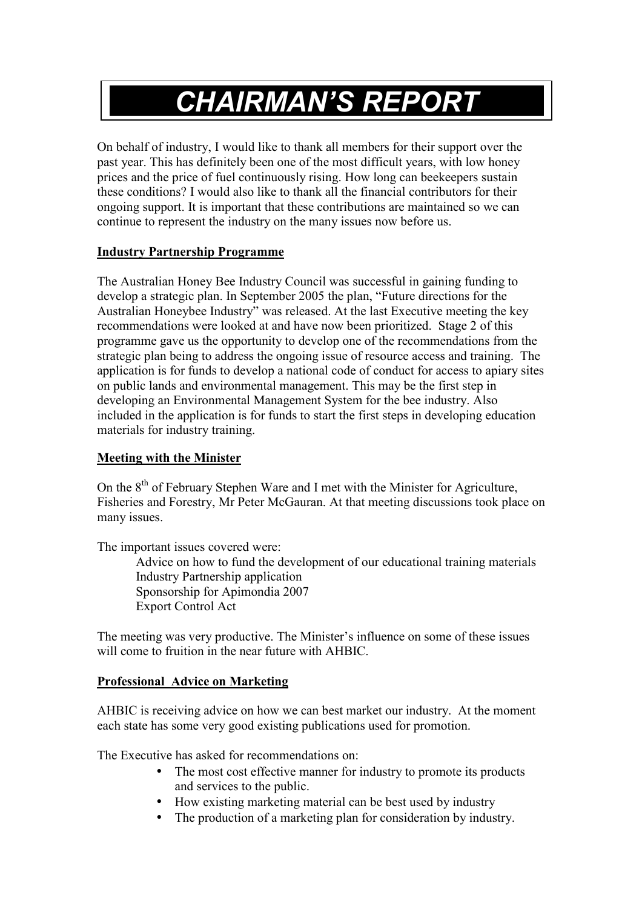# *CHAIRMAN'S REPORT*

On behalf of industry, I would like to thank all members for their support over the past year. This has definitely been one of the most difficult years, with low honey prices and the price of fuel continuously rising. How long can beekeepers sustain these conditions? I would also like to thank all the financial contributors for their ongoing support. It is important that these contributions are maintained so we can continue to represent the industry on the many issues now before us.

### **Industry Partnership Programme**

The Australian Honey Bee Industry Council was successful in gaining funding to develop a strategic plan. In September 2005 the plan, "Future directions for the Australian Honeybee Industry" was released. At the last Executive meeting the key recommendations were looked at and have now been prioritized. Stage 2 of this programme gave us the opportunity to develop one of the recommendations from the strategic plan being to address the ongoing issue of resource access and training. The application is for funds to develop a national code of conduct for access to apiary sites on public lands and environmental management. This may be the first step in developing an Environmental Management System for the bee industry. Also included in the application is for funds to start the first steps in developing education materials for industry training.

## **Meeting with the Minister**

On the 8<sup>th</sup> of February Stephen Ware and I met with the Minister for Agriculture, Fisheries and Forestry, Mr Peter McGauran. At that meeting discussions took place on many issues.

The important issues covered were:

 Advice on how to fund the development of our educational training materials Industry Partnership application Sponsorship for Apimondia 2007 Export Control Act

The meeting was very productive. The Minister's influence on some of these issues will come to fruition in the near future with AHBIC.

# **Professional Advice on Marketing**

AHBIC is receiving advice on how we can best market our industry. At the moment each state has some very good existing publications used for promotion.

The Executive has asked for recommendations on:

- The most cost effective manner for industry to promote its products and services to the public.
- How existing marketing material can be best used by industry
- The production of a marketing plan for consideration by industry.